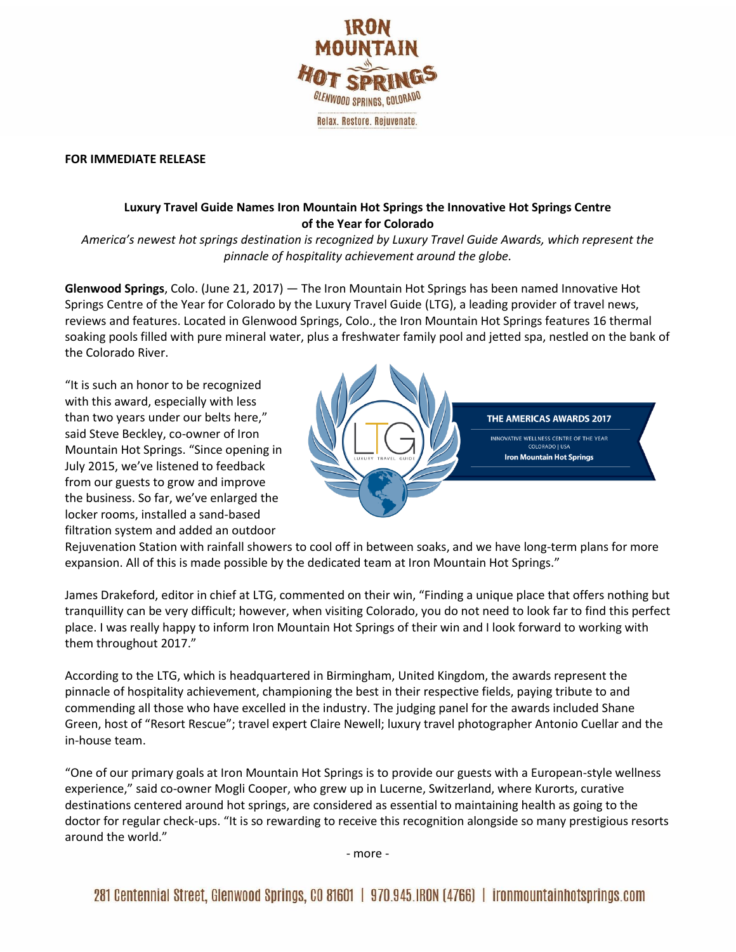

## **FOR IMMEDIATE RELEASE**

## **Luxury Travel Guide Names Iron Mountain Hot Springs the Innovative Hot Springs Centre of the Year for Colorado**

*America's newest hot springs destination is recognized by Luxury Travel Guide Awards, which represent the pinnacle of hospitality achievement around the globe.*

**Glenwood Springs**, Colo. (June 21, 2017) — The Iron Mountain Hot Springs has been named Innovative Hot Springs Centre of the Year for Colorado by the Luxury Travel Guide (LTG), a leading provider of travel news, reviews and features. Located in Glenwood Springs, Colo., the Iron Mountain Hot Springs features 16 thermal soaking pools filled with pure mineral water, plus a freshwater family pool and jetted spa, nestled on the bank of the Colorado River.

"It is such an honor to be recognized with this award, especially with less than two years under our belts here," said Steve Beckley, co-owner of Iron Mountain Hot Springs. "Since opening in July 2015, we've listened to feedback from our guests to grow and improve the business. So far, we've enlarged the locker rooms, installed a sand-based filtration system and added an outdoor



Rejuvenation Station with rainfall showers to cool off in between soaks, and we have long-term plans for more expansion. All of this is made possible by the dedicated team at Iron Mountain Hot Springs."

James Drakeford, editor in chief at LTG, commented on their win, "Finding a unique place that offers nothing but tranquillity can be very difficult; however, when visiting Colorado, you do not need to look far to find this perfect place. I was really happy to inform Iron Mountain Hot Springs of their win and I look forward to working with them throughout 2017."

According to the LTG, which is headquartered in Birmingham, United Kingdom, the awards represent the pinnacle of hospitality achievement, championing the best in their respective fields, paying tribute to and commending all those who have excelled in the industry. The judging panel for the awards included Shane Green, host of "Resort Rescue"; travel expert Claire Newell; luxury travel photographer Antonio Cuellar and the in-house team.

"One of our primary goals at Iron Mountain Hot Springs is to provide our guests with a European-style wellness experience," said co-owner Mogli Cooper, who grew up in Lucerne, Switzerland, where Kurorts, curative destinations centered around hot springs, are considered as essential to maintaining health as going to the doctor for regular check-ups. "It is so rewarding to receive this recognition alongside so many prestigious resorts around the world."

- more -

281 Centennial Street, Glenwood Springs, CO 81601 | 970.945.IRON (4766) | ironmountainhotsprings.com